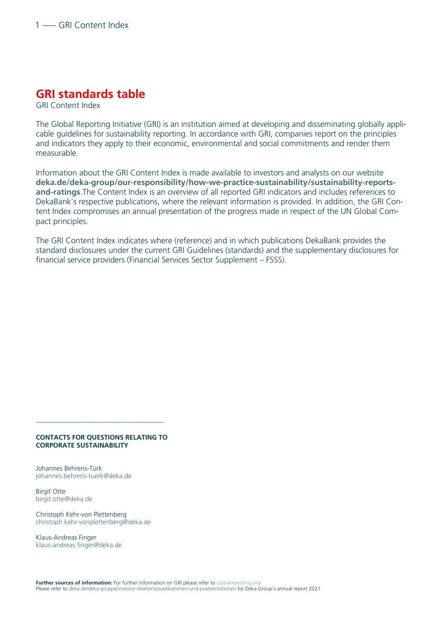## **GRI standards table**

GRI Content Index

The Global Reporting Initiative (GRI) is an institution aimed at developing and disseminating globally applicable guidelines for sustainability reporting. In accordance with GRI, companies report on the principles and indicators they apply to their economic, environmental and social commitments and render them measurable.

Information about the GRI Content Index is made available to investors and analysts on our website **[deka.de/deka-group/our-responsibility/how-we-practice-sustainability/sustainability-reports](https://www.deka.de/deka-group/our-responsibility/how-we-practice-sustainability/sustainability-reports-and-ratings)[and-ratings](https://www.deka.de/deka-group/our-responsibility/how-we-practice-sustainability/sustainability-reports-and-ratings)**.The Content Index is an overview of all reported GRI indicators and includes references to DekaBank's respective publications, where the relevant information is provided. In addition, the GRI Content Index compromises an annual presentation of the progress made in respect of the UN Global Compact principles.

The GRI Content Index indicates where (reference) and in which publications DekaBank provides the standard disclosures under the current GRI Guidelines (standards) and the supplementary disclosures for financial service providers (Financial Services Sector Supplement – FSSS).

## **CONTACTS FOR QUESTIONS RELATING TO CORPORATE SUSTAINABILITY**

––––––––––––––––––––––––––––––––––––––

Johannes Behrens-Türk [johannes.behrens-tuerk@deka.de](mailto:johannes.behrens-tuerk@deka.de)

Birgit Otte [birgit.otte@deka.de](mailto:birgit.otte@deka.de)

Christoph Kehr-von Plettenberg [christoph.kehr-vonplettenberg@deka.de](mailto:christoph.kehr-vonplettenberg@deka.de)

Klaus-Andreas Finger [klaus-andreas.finger@deka.de](mailto:klaus-andreas.finger@deka.de)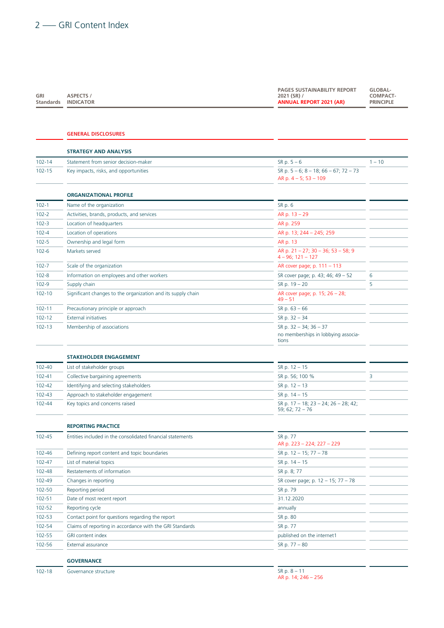| GRI<br><b>Standards</b> | <b>ASPECTS /</b><br><b>INDICATOR</b> | <b>PAGES SUSTAINABILITY REPORT</b><br>2021 (SR) /<br><b>ANNUAL REPORT 2021 (AR)</b> | GLOBAL-<br><b>COMPACT-</b><br><b>PRINCIPLE</b> |
|-------------------------|--------------------------------------|-------------------------------------------------------------------------------------|------------------------------------------------|
|                         | <b>GENERAL DISCLOSURES</b>           |                                                                                     |                                                |
|                         | <b>STRATEGY AND ANALYSIS</b>         |                                                                                     |                                                |

| $102 - 14$ | Statement from senior decision-maker                         | $SR p. 5 - 6$                                                                | $1 - 10$ |
|------------|--------------------------------------------------------------|------------------------------------------------------------------------------|----------|
| $102 - 15$ | Key impacts, risks, and opportunities                        | SR p. $5 - 6$ ; $8 - 18$ ; $66 - 67$ ; $72 - 73$<br>AR p. $4 - 5$ ; 53 - 109 |          |
|            | <b>ORGANIZATIONAL PROFILE</b>                                |                                                                              |          |
| $102 - 1$  | Name of the organization                                     | SR p. 6                                                                      |          |
| $102 - 2$  | Activities, brands, products, and services                   | $AR p. 13 - 29$                                                              |          |
| $102 - 3$  | Location of headquarters                                     | AR p. 259                                                                    |          |
| $102 - 4$  | Location of operations                                       | AR p. 13; 244 - 245; 259                                                     |          |
| $102 - 5$  | Ownership and legal form                                     | AR p. 13                                                                     |          |
| $102 - 6$  | Markets served                                               | AR p. 21 - 27; 30 - 36; 53 - 58; 9<br>$4 - 96: 121 - 127$                    |          |
| $102 - 7$  | Scale of the organization                                    | AR cover page; p. 111 - 113                                                  |          |
| $102 - 8$  | Information on employees and other workers                   | SR cover page; p. 43; 46; 49 - 52                                            | 6        |
| $102 - 9$  | Supply chain                                                 | $SR p. 19 - 20$                                                              | 5        |
| $102 - 10$ | Significant changes to the organization and its supply chain | AR cover page; p. 15; 26 - 28;<br>$49 - 51$                                  |          |
| $102 - 11$ | Precautionary principle or approach                          | $SR p. 63 - 66$                                                              |          |
| $102 - 12$ | <b>External initiatives</b>                                  | $SR p. 32 - 34$                                                              |          |
| $102 - 13$ | Membership of associations                                   | SR p. $32 - 34$ ; $36 - 37$                                                  |          |
|            |                                                              | no memberships in lobbying associa-<br>tions                                 |          |

|            | <b>STAKEHOLDER ENGAGEMENT</b>          |                                                                   |  |
|------------|----------------------------------------|-------------------------------------------------------------------|--|
| 102-40     | List of stakeholder groups             | $SR p. 12 - 15$                                                   |  |
| 102-41     | Collective bargaining agreements       | SR p. 56; 100 %                                                   |  |
| 102-42     | Identifying and selecting stakeholders | $SR p. 12 - 13$                                                   |  |
| 102-43     | Approach to stakeholder engagement     | $SR p. 14 - 15$                                                   |  |
| $102 - 44$ | Key topics and concerns raised         | SR p. $17 - 18$ ; $23 - 24$ ; $26 - 28$ ; 42;<br>59; 62; 72 $-76$ |  |

|            | <b>REPORTING PRACTICE</b>                                  |                                        |  |
|------------|------------------------------------------------------------|----------------------------------------|--|
| $102 - 45$ | Entities included in the consolidated financial statements | SR p. 77<br>AR p. 223 - 224; 227 - 229 |  |
| 102-46     | Defining report content and topic boundaries               | SR p. $12 - 15$ ; $77 - 78$            |  |
| $102 - 47$ | List of material topics                                    | $SR p. 14 - 15$                        |  |
| 102-48     | Restatements of information                                | SR p. 8; 77                            |  |
| 102-49     | Changes in reporting                                       | SR cover page; p. 12 - 15; 77 - 78     |  |
| 102-50     | Reporting period                                           | SR p. 79                               |  |
| $102 - 51$ | Date of most recent report                                 | 31.12.2020                             |  |
| 102-52     | Reporting cycle                                            | annually                               |  |
| 102-53     | Contact point for questions regarding the report           | SR p. 80                               |  |
| 102-54     | Claims of reporting in accordance with the GRI Standards   | SR p. 77                               |  |
| 102-55     | <b>GRI</b> content index                                   | published on the internet1             |  |
| 102-56     | External assurance                                         | SR p. 77 - 80                          |  |

## **GOVERNANCE**

102-18 Governance structure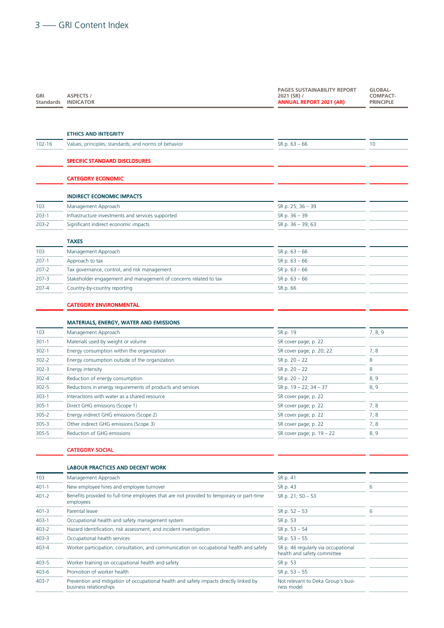| GRI<br><b>Standards</b> | <b>ASPECTS /</b><br><b>INDICATOR</b>                                                                  | <b>PAGES SUSTAINABILITY REPORT</b><br>2021 (SR) /<br><b>ANNUAL REPORT 2021 (AR)</b> | GLOBAL-<br>COMPACT-<br><b>PRINCIPLE</b> |
|-------------------------|-------------------------------------------------------------------------------------------------------|-------------------------------------------------------------------------------------|-----------------------------------------|
|                         |                                                                                                       |                                                                                     |                                         |
|                         | <b>ETHICS AND INTEGRITY</b>                                                                           |                                                                                     |                                         |
| $102 - 16$              | Values, principles, standards, and norms of behavior                                                  | $SR p. 63 - 66$                                                                     | 10                                      |
|                         | <b>SPECIFIC STANDARD DISCLOSURES</b>                                                                  |                                                                                     |                                         |
|                         | <b>CATEGORY ECONOMIC</b>                                                                              |                                                                                     |                                         |
|                         | <b>INDIRECT ECONOMIC IMPACTS</b>                                                                      |                                                                                     |                                         |
| 103                     | Management Approach                                                                                   | SR p. 25; 36 - 39                                                                   |                                         |
| $203-1$                 | Infrastructure investments and services supported                                                     | SR p. 36 - 39                                                                       |                                         |
| $203 - 2$               | Significant indirect economic impacts                                                                 | SR p. 36 - 39; 63                                                                   |                                         |
|                         | <b>TAXES</b>                                                                                          |                                                                                     |                                         |
| 103                     | Management Approach                                                                                   | $SR p. 63 - 66$                                                                     |                                         |
| $207-1$                 | Approach to tax                                                                                       | $SR p. 63 - 66$                                                                     |                                         |
| $207 - 2$               | Tax governance, control, and risk management                                                          | $SR p. 63 - 66$                                                                     |                                         |
| $207 - 3$               | Stakeholder engagement and management of concerns related to tax                                      | $SR p. 63 - 66$                                                                     |                                         |
| $207 - 4$               | Country-by-country reporting                                                                          | SR p. 66                                                                            |                                         |
|                         | <b>CATEGORY ENVIRONMENTAL</b>                                                                         |                                                                                     |                                         |
|                         | <b>MATERIALS, ENERGY, WATER AND EMISSIONS</b>                                                         |                                                                                     |                                         |
| 103                     | Management Approach                                                                                   | SR p. 19                                                                            | 7, 8, 9                                 |
| $301-1$                 | Materials used by weight or volume                                                                    | SR cover page; p. 22                                                                |                                         |
| $302-1$                 | Energy consumption within the organization                                                            | SR cover page; p. 20; 22                                                            | 7, 8                                    |
| $302 - 2$               | Energy consumption outside of the organization                                                        | SR p. $20 - 22$                                                                     | 8                                       |
| $302 - 3$               | Energy intensity                                                                                      | SR p. $20 - 22$                                                                     | 8                                       |
| $302 - 4$               | Reduction of energy consumption                                                                       | SR p. $20 - 22$                                                                     | 8, 9                                    |
| $302 - 5$               | Reductions in energy requirements of products and services                                            | SR p. $19 - 22$ ; $34 - 37$                                                         | 8, 9                                    |
| $303-1$                 | Interactions with water as a shared resource                                                          | SR cover page; p. 22                                                                |                                         |
| $305-1$                 | Direct GHG emissions (Scope 1)                                                                        | SR cover page; p. 22                                                                | 7, 8                                    |
| $305 - 2$               | Energy indirect GHG emissions (Scope 2)                                                               | SR cover page; p. 22                                                                | 7,8                                     |
| $305 - 3$               | Other indirect GHG emissions (Scope 3)                                                                | SR cover page; p. 22                                                                | 7,8                                     |
| $305 - 5$               | Reduction of GHG emissions                                                                            | SR cover page; p. $19 - 22$                                                         | 8, 9                                    |
|                         | <b>CATEGORY SOCIAL</b>                                                                                |                                                                                     |                                         |
|                         | <b>LABOUR PRACTICES AND DECENT WORK</b>                                                               |                                                                                     |                                         |
| 103                     | Management Approach                                                                                   | SR p. 41                                                                            |                                         |
| $401 - 1$               | New employee hires and employee turnover                                                              | SR p. 43                                                                            | 6                                       |
| $401 - 2$               | Benefits provided to full-time employees that are not provided to temporary or part-time<br>employees | SR p. 21; 50 - 53                                                                   |                                         |
| $401 - 3$               | Parental leave                                                                                        | $SR p. 52 - 53$                                                                     | 6                                       |
| $403-1$                 | Occupational health and safety management system                                                      | SR p. 53                                                                            |                                         |
| $403 - 2$               | Hazard identification, risk assessment, and incident investigation                                    | $SR p. 53 - 54$                                                                     |                                         |
| $403 - 3$               | Occupational health services                                                                          | $SR p. 53 - 55$                                                                     |                                         |
| 403-4                   | Worker participation, consultation, and communication on occupational health and safety               | SR p. 46 regularly via occupational<br>health and safety committee                  |                                         |
| 403-5                   | Worker training on occupational health and safety                                                     | SR p. 53                                                                            |                                         |
|                         |                                                                                                       |                                                                                     |                                         |

## 403-6 Promotion of worker health 403-7 Prevention and mitigation of occupational health and safety impacts directly linked by business relationships

| $SK p. 53 - 55$                    |  |
|------------------------------------|--|
| Not relevant to Deka Group's busi- |  |
| ness model                         |  |